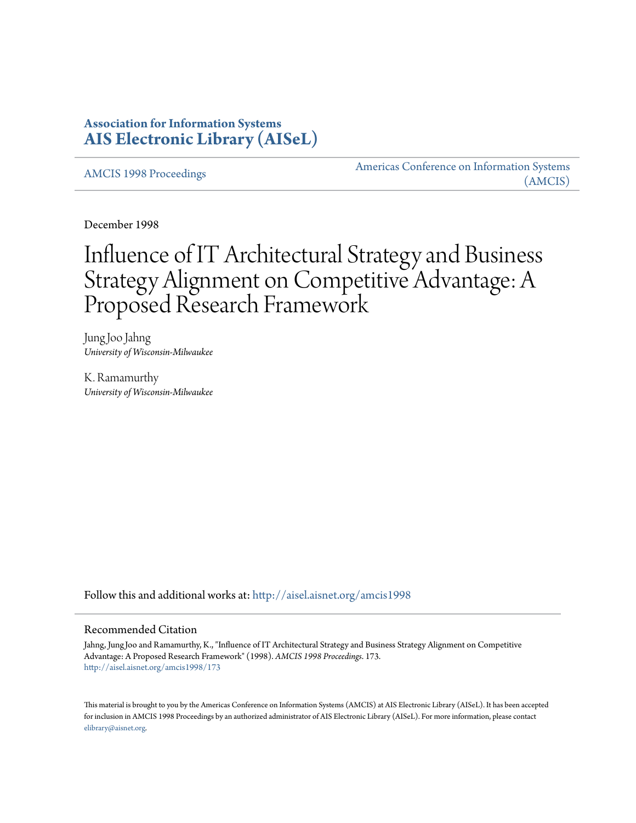# **Association for Information Systems [AIS Electronic Library \(AISeL\)](http://aisel.aisnet.org?utm_source=aisel.aisnet.org%2Famcis1998%2F173&utm_medium=PDF&utm_campaign=PDFCoverPages)**

[AMCIS 1998 Proceedings](http://aisel.aisnet.org/amcis1998?utm_source=aisel.aisnet.org%2Famcis1998%2F173&utm_medium=PDF&utm_campaign=PDFCoverPages)

[Americas Conference on Information Systems](http://aisel.aisnet.org/amcis?utm_source=aisel.aisnet.org%2Famcis1998%2F173&utm_medium=PDF&utm_campaign=PDFCoverPages) [\(AMCIS\)](http://aisel.aisnet.org/amcis?utm_source=aisel.aisnet.org%2Famcis1998%2F173&utm_medium=PDF&utm_campaign=PDFCoverPages)

December 1998

# Influence of IT Architectural Strategy and Business Strategy Alignment on Competitive Advantage: A Proposed Research Framework

Jung Joo Jahng *University of Wisconsin-Milwaukee*

K. Ramamurthy *University of Wisconsin-Milwaukee*

Follow this and additional works at: [http://aisel.aisnet.org/amcis1998](http://aisel.aisnet.org/amcis1998?utm_source=aisel.aisnet.org%2Famcis1998%2F173&utm_medium=PDF&utm_campaign=PDFCoverPages)

#### Recommended Citation

Jahng, Jung Joo and Ramamurthy, K., "Influence of IT Architectural Strategy and Business Strategy Alignment on Competitive Advantage: A Proposed Research Framework" (1998). *AMCIS 1998 Proceedings*. 173. [http://aisel.aisnet.org/amcis1998/173](http://aisel.aisnet.org/amcis1998/173?utm_source=aisel.aisnet.org%2Famcis1998%2F173&utm_medium=PDF&utm_campaign=PDFCoverPages)

This material is brought to you by the Americas Conference on Information Systems (AMCIS) at AIS Electronic Library (AISeL). It has been accepted for inclusion in AMCIS 1998 Proceedings by an authorized administrator of AIS Electronic Library (AISeL). For more information, please contact [elibrary@aisnet.org.](mailto:elibrary@aisnet.org%3E)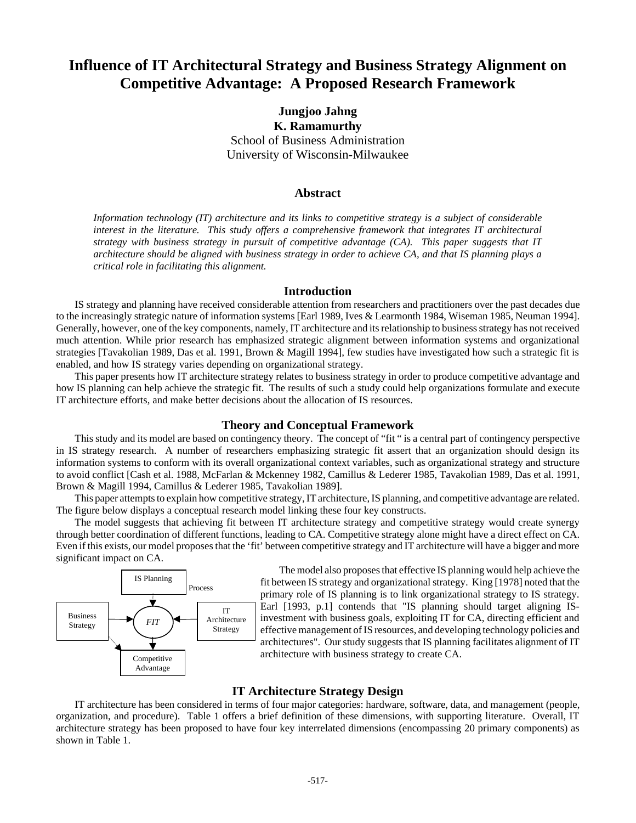# **Influence of IT Architectural Strategy and Business Strategy Alignment on Competitive Advantage: A Proposed Research Framework**

**Jungjoo Jahng K. Ramamurthy** School of Business Administration University of Wisconsin-Milwaukee

#### **Abstract**

*Information technology (IT) architecture and its links to competitive strategy is a subject of considerable interest in the literature. This study offers a comprehensive framework that integrates IT architectural strategy with business strategy in pursuit of competitive advantage (CA). This paper suggests that IT architecture should be aligned with business strategy in order to achieve CA, and that IS planning plays a critical role in facilitating this alignment.*

# **Introduction**

IS strategy and planning have received considerable attention from researchers and practitioners over the past decades due to the increasingly strategic nature of information systems [Earl 1989, Ives & Learmonth 1984, Wiseman 1985, Neuman 1994]. Generally, however, one of the key components, namely, IT architecture and its relationship to business strategy has not received much attention. While prior research has emphasized strategic alignment between information systems and organizational strategies [Tavakolian 1989, Das et al. 1991, Brown & Magill 1994], few studies have investigated how such a strategic fit is enabled, and how IS strategy varies depending on organizational strategy.

This paper presents how IT architecture strategy relates to business strategy in order to produce competitive advantage and how IS planning can help achieve the strategic fit. The results of such a study could help organizations formulate and execute IT architecture efforts, and make better decisions about the allocation of IS resources.

## **Theory and Conceptual Framework**

This study and its model are based on contingency theory. The concept of "fit " is a central part of contingency perspective in IS strategy research. A number of researchers emphasizing strategic fit assert that an organization should design its information systems to conform with its overall organizational context variables, such as organizational strategy and structure to avoid conflict [Cash et al. 1988, McFarlan & Mckenney 1982, Camillus & Lederer 1985, Tavakolian 1989, Das et al. 1991, Brown & Magill 1994, Camillus & Lederer 1985, Tavakolian 1989].

This paper attempts to explain how competitive strategy, IT architecture, IS planning, and competitive advantage are related. The figure below displays a conceptual research model linking these four key constructs.

The model suggests that achieving fit between IT architecture strategy and competitive strategy would create synergy through better coordination of different functions, leading to CA. Competitive strategy alone might have a direct effect on CA. Even if this exists, our model proposes that the 'fit' between competitive strategy and IT architecture will have a bigger and more significant impact on CA.



The model also proposes that effective IS planning would help achieve the fit between IS strategy and organizational strategy. King [1978] noted that the primary role of IS planning is to link organizational strategy to IS strategy. Earl [1993, p.1] contends that "IS planning should target aligning ISinvestment with business goals, exploiting IT for CA, directing efficient and effective management of IS resources, and developing technology policies and architectures". Our study suggests that IS planning facilitates alignment of IT architecture with business strategy to create CA.

## **IT Architecture Strategy Design**

IT architecture has been considered in terms of four major categories: hardware, software, data, and management (people, organization, and procedure). Table 1 offers a brief definition of these dimensions, with supporting literature. Overall, IT architecture strategy has been proposed to have four key interrelated dimensions (encompassing 20 primary components) as shown in Table 1.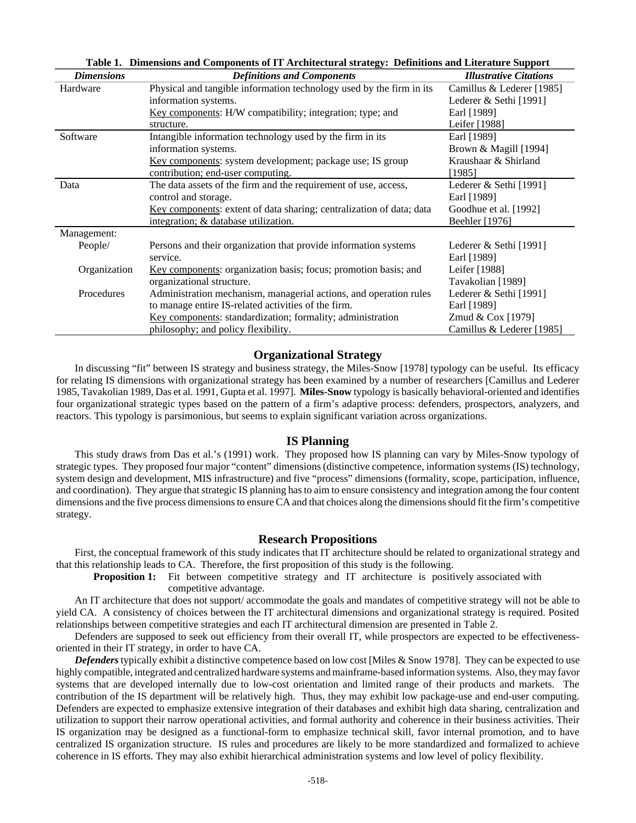| Table 1. Dimensions and Components of 11 Architectural strategy. Demnitions and Literature Support |                                                                      |                               |  |  |  |  |  |  |
|----------------------------------------------------------------------------------------------------|----------------------------------------------------------------------|-------------------------------|--|--|--|--|--|--|
| <b>Dimensions</b>                                                                                  | <b>Definitions and Components</b>                                    | <b>Illustrative Citations</b> |  |  |  |  |  |  |
| Hardware                                                                                           | Physical and tangible information technology used by the firm in its | Camillus & Lederer [1985]     |  |  |  |  |  |  |
|                                                                                                    | information systems.                                                 | Lederer & Sethi [1991]        |  |  |  |  |  |  |
|                                                                                                    | Key components: H/W compatibility; integration; type; and            | Earl [1989]                   |  |  |  |  |  |  |
|                                                                                                    | structure.                                                           | Leifer [1988]                 |  |  |  |  |  |  |
| Software                                                                                           | Intangible information technology used by the firm in its            | Earl [1989]                   |  |  |  |  |  |  |
|                                                                                                    | information systems.                                                 | Brown & Magill [1994]         |  |  |  |  |  |  |
|                                                                                                    | Key components: system development; package use; IS group            | Kraushaar & Shirland          |  |  |  |  |  |  |
|                                                                                                    | contribution; end-user computing.                                    | [1985]                        |  |  |  |  |  |  |
| Data                                                                                               | The data assets of the firm and the requirement of use, access,      | Lederer $\&$ Sethi [1991]     |  |  |  |  |  |  |
|                                                                                                    | control and storage.                                                 | Earl [1989]                   |  |  |  |  |  |  |
|                                                                                                    | Key components: extent of data sharing; centralization of data; data | Goodhue et al. [1992]         |  |  |  |  |  |  |
|                                                                                                    | integration; & database utilization.                                 | Beehler [1976]                |  |  |  |  |  |  |
| Management:                                                                                        |                                                                      |                               |  |  |  |  |  |  |
| People/                                                                                            | Persons and their organization that provide information systems      | Lederer $\&$ Sethi [1991]     |  |  |  |  |  |  |
|                                                                                                    | service.                                                             | Earl [1989]                   |  |  |  |  |  |  |
| Organization                                                                                       | Key components: organization basis; focus; promotion basis; and      | Leifer [1988]                 |  |  |  |  |  |  |
|                                                                                                    | organizational structure.                                            | Tavakolian [1989]             |  |  |  |  |  |  |
| Procedures                                                                                         | Administration mechanism, managerial actions, and operation rules    | Lederer $\&$ Sethi [1991]     |  |  |  |  |  |  |
|                                                                                                    | to manage entire IS-related activities of the firm.                  | Earl [1989]                   |  |  |  |  |  |  |
|                                                                                                    | Key components: standardization; formality; administration           | Zmud & Cox [1979]             |  |  |  |  |  |  |
|                                                                                                    | philosophy; and policy flexibility.                                  | Camillus & Lederer [1985]     |  |  |  |  |  |  |

**Table 1. Dimensions and Components of IT Architectural strategy: Definitions and Literature Support**

#### **Organizational Strategy**

In discussing "fit" between IS strategy and business strategy, the Miles-Snow [1978] typology can be useful. Its efficacy for relating IS dimensions with organizational strategy has been examined by a number of researchers [Camillus and Lederer 1985, Tavakolian 1989, Das et al. 1991, Gupta et al. 1997]. **Miles-Snow** typology is basically behavioral-oriented and identifies four organizational strategic types based on the pattern of a firm's adaptive process: defenders, prospectors, analyzers, and reactors. This typology is parsimonious, but seems to explain significant variation across organizations.

#### **IS Planning**

This study draws from Das et al.'s (1991) work. They proposed how IS planning can vary by Miles-Snow typology of strategic types. They proposed four major "content" dimensions (distinctive competence, information systems (IS) technology, system design and development, MIS infrastructure) and five "process" dimensions (formality, scope, participation, influence, and coordination). They argue that strategic IS planning has to aim to ensure consistency and integration among the four content dimensions and the five process dimensions to ensure CA and that choices along the dimensions should fit the firm's competitive strategy.

#### **Research Propositions**

First, the conceptual framework of this study indicates that IT architecture should be related to organizational strategy and that this relationship leads to CA. Therefore, the first proposition of this study is the following.

**Proposition 1:** Fit between competitive strategy and IT architecture is positively associated with competitive advantage.

An IT architecture that does not support/ accommodate the goals and mandates of competitive strategy will not be able to yield CA. A consistency of choices between the IT architectural dimensions and organizational strategy is required. Posited relationships between competitive strategies and each IT architectural dimension are presented in Table 2.

Defenders are supposed to seek out efficiency from their overall IT, while prospectors are expected to be effectivenessoriented in their IT strategy, in order to have CA.

*Defenders* typically exhibit a distinctive competence based on low cost [Miles & Snow 1978]. They can be expected to use highly compatible, integrated and centralized hardware systems and mainframe-based information systems. Also, they may favor systems that are developed internally due to low-cost orientation and limited range of their products and markets. The contribution of the IS department will be relatively high. Thus, they may exhibit low package-use and end-user computing. Defenders are expected to emphasize extensive integration of their databases and exhibit high data sharing, centralization and utilization to support their narrow operational activities, and formal authority and coherence in their business activities. Their IS organization may be designed as a functional-form to emphasize technical skill, favor internal promotion, and to have centralized IS organization structure. IS rules and procedures are likely to be more standardized and formalized to achieve coherence in IS efforts. They may also exhibit hierarchical administration systems and low level of policy flexibility.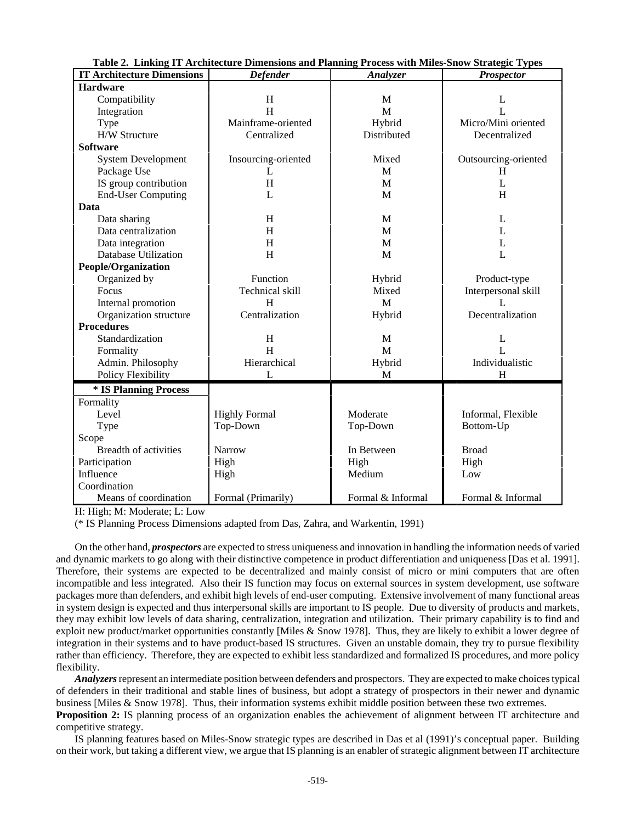|                                   | Table 2. Emking IT Architecture Dimensions and Flaming Frocess with Miles-Show Strategic Types |                   |                      |  |
|-----------------------------------|------------------------------------------------------------------------------------------------|-------------------|----------------------|--|
| <b>IT Architecture Dimensions</b> | <b>Defender</b>                                                                                | Analyzer          | <b>Prospector</b>    |  |
| <b>Hardware</b>                   |                                                                                                |                   |                      |  |
| Compatibility                     | H<br>M                                                                                         |                   | L                    |  |
| Integration                       | H                                                                                              | M                 | $\mathbf{L}$         |  |
| Type                              | Mainframe-oriented                                                                             | Hybrid            | Micro/Mini oriented  |  |
| H/W Structure                     | Centralized                                                                                    | Distributed       | Decentralized        |  |
| <b>Software</b>                   |                                                                                                |                   |                      |  |
| <b>System Development</b>         | Insourcing-oriented                                                                            | Mixed             | Outsourcing-oriented |  |
| Package Use                       | L                                                                                              | M                 | H.                   |  |
| IS group contribution             | H                                                                                              | M                 | $\mathbf{I}$ .       |  |
| <b>End-User Computing</b>         | L                                                                                              | M                 | H                    |  |
| Data                              |                                                                                                |                   |                      |  |
| Data sharing                      | H                                                                                              | M                 | L                    |  |
| Data centralization               | H                                                                                              | M                 | L                    |  |
| Data integration                  | H                                                                                              | M                 | L                    |  |
| <b>Database Utilization</b>       | H                                                                                              | M                 | L                    |  |
| <b>People/Organization</b>        |                                                                                                |                   |                      |  |
| Organized by                      | Function                                                                                       | Hybrid            | Product-type         |  |
| Focus                             | Technical skill                                                                                | Mixed             | Interpersonal skill  |  |
| Internal promotion                | H                                                                                              | M                 | $\mathbf{I}$ .       |  |
| Organization structure            | Centralization                                                                                 | Hybrid            | Decentralization     |  |
| <b>Procedures</b>                 |                                                                                                |                   |                      |  |
| Standardization                   | H                                                                                              | M                 | L                    |  |
| Formality                         | H                                                                                              | M                 | L                    |  |
| Admin. Philosophy                 | Hierarchical                                                                                   | Hybrid            | Individualistic      |  |
| <b>Policy Flexibility</b>         | L                                                                                              | M                 | H                    |  |
| * IS Planning Process             |                                                                                                |                   |                      |  |
| Formality                         |                                                                                                |                   |                      |  |
| Level                             | <b>Highly Formal</b>                                                                           | Moderate          | Informal, Flexible   |  |
| Type                              | Top-Down                                                                                       | Top-Down          | Bottom-Up            |  |
| Scope                             |                                                                                                |                   |                      |  |
| Breadth of activities             | <b>Narrow</b>                                                                                  | In Between        | <b>Broad</b>         |  |
| Participation                     | High                                                                                           | High              | High                 |  |
| Influence                         | High                                                                                           | Medium            | Low                  |  |
| Coordination                      |                                                                                                |                   |                      |  |
| Means of coordination             | Formal (Primarily)                                                                             | Formal & Informal | Formal & Informal    |  |

| Table 2. Linking IT Architecture Dimensions and Planning Process with Miles-Snow Strategic Types |  |  |  |  |  |  |  |
|--------------------------------------------------------------------------------------------------|--|--|--|--|--|--|--|
|--------------------------------------------------------------------------------------------------|--|--|--|--|--|--|--|

H: High; M: Moderate; L: Low

(\* IS Planning Process Dimensions adapted from Das, Zahra, and Warkentin, 1991)

On the other hand, *prospectors* are expected to stress uniqueness and innovation in handling the information needs of varied and dynamic markets to go along with their distinctive competence in product differentiation and uniqueness [Das et al. 1991]. Therefore, their systems are expected to be decentralized and mainly consist of micro or mini computers that are often incompatible and less integrated. Also their IS function may focus on external sources in system development, use software packages more than defenders, and exhibit high levels of end-user computing. Extensive involvement of many functional areas in system design is expected and thus interpersonal skills are important to IS people. Due to diversity of products and markets, they may exhibit low levels of data sharing, centralization, integration and utilization. Their primary capability is to find and exploit new product/market opportunities constantly [Miles & Snow 1978]. Thus, they are likely to exhibit a lower degree of integration in their systems and to have product-based IS structures. Given an unstable domain, they try to pursue flexibility rather than efficiency. Therefore, they are expected to exhibit less standardized and formalized IS procedures, and more policy flexibility.

*Analyzers* represent an intermediate position between defenders and prospectors. They are expected to make choices typical of defenders in their traditional and stable lines of business, but adopt a strategy of prospectors in their newer and dynamic business [Miles & Snow 1978]. Thus, their information systems exhibit middle position between these two extremes.

**Proposition 2:** IS planning process of an organization enables the achievement of alignment between IT architecture and competitive strategy.

IS planning features based on Miles-Snow strategic types are described in Das et al (1991)'s conceptual paper. Building on their work, but taking a different view, we argue that IS planning is an enabler of strategic alignment between IT architecture